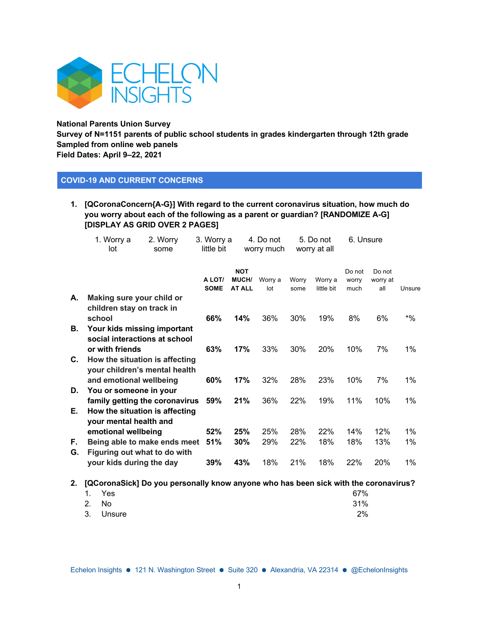

**National Parents Union Survey** 

**Survey of N=1151 parents of public school students in grades kindergarten through 12th grade Sampled from online web panels Field Dates: April 9–22, 2021**

### **COVID-19 AND CURRENT CONCERNS**

**1. [QCoronaConcern{A-G}] With regard to the current coronavirus situation, how much do you worry about each of the following as a parent or guardian? [RANDOMIZE A-G] [DISPLAY AS GRID OVER 2 PAGES]**

|          | 1. Worry a<br>lot                                                                          | 2. Worry<br>some | 3. Worry a<br>little bit |                                             | 4. Do not<br>worry much |               | 5. Do not<br>worry at all | 6. Unsure               |                           |        |
|----------|--------------------------------------------------------------------------------------------|------------------|--------------------------|---------------------------------------------|-------------------------|---------------|---------------------------|-------------------------|---------------------------|--------|
|          |                                                                                            |                  | A LOT/<br><b>SOME</b>    | <b>NOT</b><br><b>MUCH/</b><br><b>AT ALL</b> | Worry a<br>lot          | Worry<br>some | Worry a<br>little bit     | Do not<br>worry<br>much | Do not<br>worry at<br>all | Unsure |
| А.       | Making sure your child or<br>children stay on track in<br>school                           |                  | 66%                      | 14%                                         | 36%                     | 30%           | 19%                       | 8%                      | 6%                        | $^*%$  |
| В.       | Your kids missing important<br>social interactions at school<br>or with friends            |                  | 63%                      | 17%                                         | 33%                     | 30%           | 20%                       | 10%                     | 7%                        | $1\%$  |
| C.       | How the situation is affecting<br>your children's mental health                            |                  |                          |                                             |                         |               |                           |                         |                           |        |
| D.       | and emotional wellbeing<br>You or someone in your                                          |                  | 60%                      | 17%                                         | 32%                     | 28%           | 23%                       | 10%                     | 7%                        | $1\%$  |
| Е.       | family getting the coronavirus<br>How the situation is affecting<br>your mental health and |                  | 59%                      | 21%                                         | 36%                     | 22%           | 19%                       | 11%                     | 10%                       | $1\%$  |
|          | emotional wellbeing                                                                        |                  | 52%                      | 25%                                         | 25%                     | 28%           | 22%                       | 14%                     | 12%                       | $1\%$  |
| F.<br>G. | Being able to make ends meet<br>Figuring out what to do with                               |                  | 51%                      | 30%                                         | 29%                     | 22%           | 18%                       | 18%                     | 13%                       | $1\%$  |
|          | your kids during the day                                                                   |                  | 39%                      | 43%                                         | 18%                     | 21%           | 18%                       | 22%                     | 20%                       | $1\%$  |

**2. [QCoronaSick] Do you personally know anyone who has been sick with the coronavirus?** 

|       | 1. Yes    | 67% |
|-------|-----------|-----|
| 2. No |           | 31% |
|       | 3. Unsure | 2%  |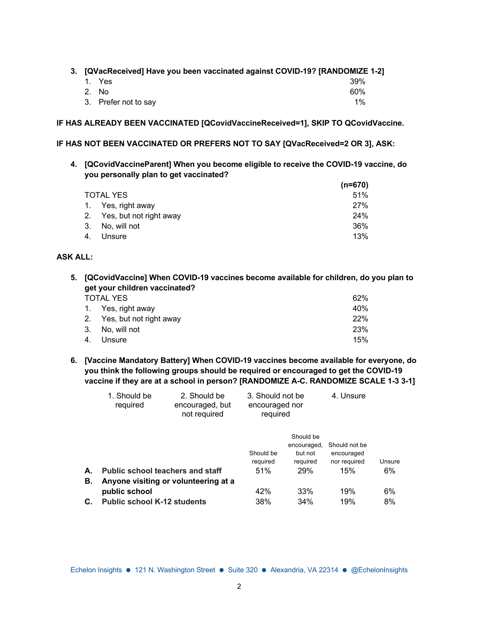**3. [QVacReceived] Have you been vaccinated against COVID-19? [RANDOMIZE 1-2]**

| 1. Yes               | 39%   |
|----------------------|-------|
| 2. No                | 60%   |
| 3. Prefer not to say | $1\%$ |

**IF HAS ALREADY BEEN VACCINATED [QCovidVaccineReceived=1], SKIP TO QCovidVaccine.** 

**IF HAS NOT BEEN VACCINATED OR PREFERS NOT TO SAY [QVacReceived=2 OR 3], ASK:**

**4. [QCovidVaccineParent] When you become eligible to receive the COVID-19 vaccine, do you personally plan to get vaccinated?**

|     |                            | $(n=670)$ |
|-----|----------------------------|-----------|
|     | <b>TOTAL YES</b>           | 51%       |
|     | 1. Yes, right away         | 27%       |
|     | 2. Yes, but not right away | 24%       |
|     | 3. No. will not            | 36%       |
| -4. | Unsure                     | 13%       |

### **ASK ALL:**

**5. [QCovidVaccine] When COVID-19 vaccines become available for children, do you plan to get your children vaccinated?** 

|  | TOTAL YES |
|--|-----------|
|  |           |

| TOTAL YES                  | 62% |
|----------------------------|-----|
| 1. Yes, right away         | 40% |
| 2. Yes, but not right away | 22% |
| 3. No, will not            | 23% |
| 4. Unsure                  | 15% |
|                            |     |

**6. [Vaccine Mandatory Battery] When COVID-19 vaccines become available for everyone, do you think the following groups should be required or encouraged to get the COVID-19 vaccine if they are at a school in person? [RANDOMIZE A-C. RANDOMIZE SCALE 1-3 3-1]**

|    | 1. Should be<br>required                | 2. Should be<br>encouraged, but<br>not required | 3. Should not be<br>encouraged nor<br>required |                                                 | 4. Unsure                                   |        |
|----|-----------------------------------------|-------------------------------------------------|------------------------------------------------|-------------------------------------------------|---------------------------------------------|--------|
|    |                                         |                                                 | Should be<br>required                          | Should be<br>encouraged,<br>but not<br>required | Should not be<br>encouraged<br>nor required | Unsure |
| А. | <b>Public school teachers and staff</b> |                                                 | 51%                                            | <b>29%</b>                                      | 15%                                         | 6%     |
| Β. | Anyone visiting or volunteering at a    |                                                 |                                                |                                                 |                                             |        |
|    | public school                           |                                                 | 42%                                            | 33%                                             | 19%                                         | 6%     |
| С. | <b>Public school K-12 students</b>      |                                                 | 38%                                            | 34%                                             | 19%                                         | 8%     |
|    |                                         |                                                 |                                                |                                                 |                                             |        |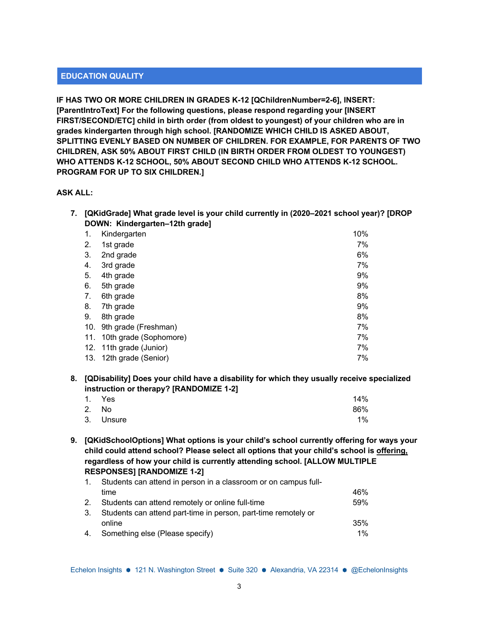## **EDUCATION QUALITY**

**IF HAS TWO OR MORE CHILDREN IN GRADES K-12 [QChildrenNumber=2-6], INSERT: [ParentIntroText] For the following questions, please respond regarding your [INSERT FIRST/SECOND/ETC] child in birth order (from oldest to youngest) of your children who are in grades kindergarten through high school. [RANDOMIZE WHICH CHILD IS ASKED ABOUT, SPLITTING EVENLY BASED ON NUMBER OF CHILDREN. FOR EXAMPLE, FOR PARENTS OF TWO CHILDREN, ASK 50% ABOUT FIRST CHILD (IN BIRTH ORDER FROM OLDEST TO YOUNGEST) WHO ATTENDS K-12 SCHOOL, 50% ABOUT SECOND CHILD WHO ATTENDS K-12 SCHOOL. PROGRAM FOR UP TO SIX CHILDREN.]**

### **ASK ALL:**

**7. [QKidGrade] What grade level is your child currently in (2020–2021 school year)? [DROP DOWN: Kindergarten–12th grade]**

| 1.  | Kindergarten            | 10% |
|-----|-------------------------|-----|
| 2.  | 1st grade               | 7%  |
| 3.  | 2nd grade               | 6%  |
| 4.  | 3rd grade               | 7%  |
| 5.  | 4th grade               | 9%  |
| 6.  | 5th grade               | 9%  |
| 7.  | 6th grade               | 8%  |
| 8.  | 7th grade               | 9%  |
| 9.  | 8th grade               | 8%  |
| 10. | 9th grade (Freshman)    | 7%  |
| 11. | 10th grade (Sophomore)  | 7%  |
|     | 12. 11th grade (Junior) | 7%  |
| 13. | 12th grade (Senior)     | 7%  |

**8. [QDisability] Does your child have a disability for which they usually receive specialized instruction or therapy? [RANDOMIZE 1-2]**

| 1. Yes    | 14% |
|-----------|-----|
| 2. No     | 86% |
| 3. Unsure | 1%  |

**9. [QKidSchoolOptions] What options is your child's school currently offering for ways your child could attend school? Please select all options that your child's school is offering, regardless of how your child is currently attending school. [ALLOW MULTIPLE RESPONSES] [RANDOMIZE 1-2]**

| $\mathbf{1}$ . | Students can attend in person in a classroom or on campus full- |     |  |  |
|----------------|-----------------------------------------------------------------|-----|--|--|
|                | time                                                            | 46% |  |  |
| 2.             | Students can attend remotely or online full-time                | 59% |  |  |
| 3.             | Students can attend part-time in person, part-time remotely or  |     |  |  |
|                | online                                                          | 35% |  |  |
| 4.             | Something else (Please specify)                                 | 1%  |  |  |
|                |                                                                 |     |  |  |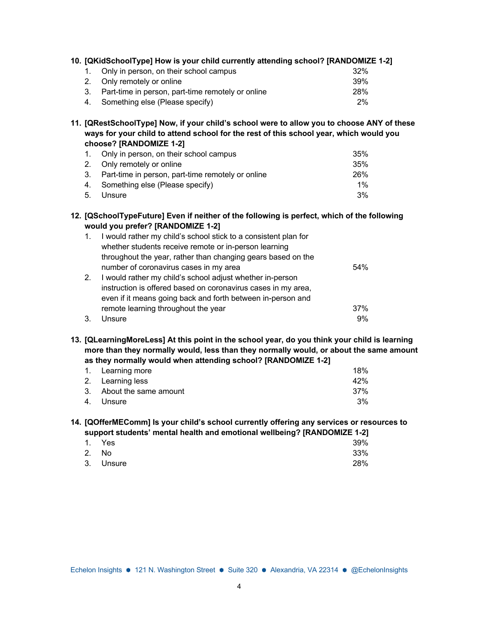|  | 10. [QKidSchoolType] How is your child currently attending school? [RANDOMIZE 1-2] |            |
|--|------------------------------------------------------------------------------------|------------|
|  | Only in person, on their school campus                                             | 32%        |
|  | 2. Only remotely or online                                                         | 39%        |
|  | Part-time in person, part-time remotely or online                                  | <b>28%</b> |
|  | 4. Something else (Please specify)                                                 | 2%         |

**11. [QRestSchoolType] Now, if your child's school were to allow you to choose ANY of these ways for your child to attend school for the rest of this school year, which would you choose? [RANDOMIZE 1-2]**

| 1. Only in person, on their school campus            | 35%        |
|------------------------------------------------------|------------|
| 2. Only remotely or online                           | 35%        |
| 3. Part-time in person, part-time remotely or online | <b>26%</b> |
| 4. Something else (Please specify)                   | $1\%$      |
| 5. Unsure                                            | 3%         |

# **12. [QSchoolTypeFuture] Even if neither of the following is perfect, which of the following would you prefer? [RANDOMIZE 1-2]**

| $1_{\cdot}$ | I would rather my child's school stick to a consistent plan for |     |
|-------------|-----------------------------------------------------------------|-----|
|             | whether students receive remote or in-person learning           |     |
|             | throughout the year, rather than changing gears based on the    |     |
|             | number of coronavirus cases in my area                          | 54% |
| 2.          | I would rather my child's school adjust whether in-person       |     |
|             | instruction is offered based on coronavirus cases in my area,   |     |
|             | even if it means going back and forth between in-person and     |     |
|             | remote learning throughout the year                             | 37% |
| 3           | Unsure                                                          | 9%  |

**13. [QLearningMoreLess] At this point in the school year, do you think your child is learning more than they normally would, less than they normally would, or about the same amount as they normally would when attending school? [RANDOMIZE 1-2]**

| 1. Learning more         | 18% |
|--------------------------|-----|
| 2. Learning less         | 42% |
| 3. About the same amount | 37% |
| 4. Unsure                | 3%  |

## **14. [QOfferMEComm] Is your child's school currently offering any services or resources to support students' mental health and emotional wellbeing? [RANDOMIZE 1-2]**

|           | - - |     |
|-----------|-----|-----|
| 1. Yes    |     | 39% |
| 2. No     |     | 33% |
| 3. Unsure |     | 28% |
|           |     |     |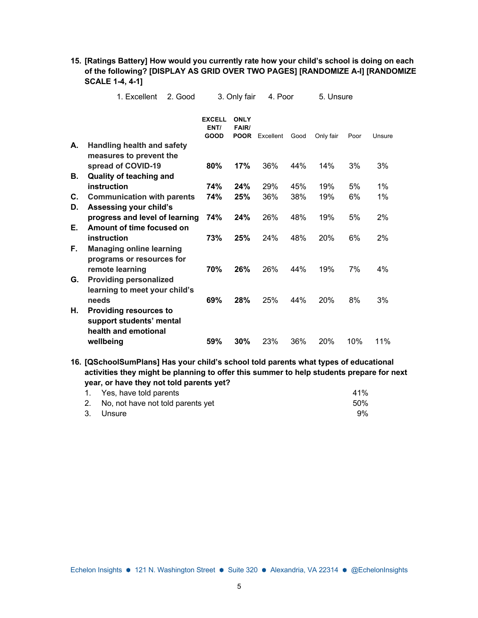|    | 1. Excellent                      | 2. Good |                               | 3. Only fair                               | 4. Poor   |      | 5. Unsure |      |        |
|----|-----------------------------------|---------|-------------------------------|--------------------------------------------|-----------|------|-----------|------|--------|
|    |                                   |         | <b>EXCELL</b><br>ENT/<br>GOOD | <b>ONLY</b><br><b>FAIR/</b><br><b>POOR</b> | Excellent | Good | Only fair | Poor | Unsure |
| А. | <b>Handling health and safety</b> |         |                               |                                            |           |      |           |      |        |
|    | measures to prevent the           |         |                               |                                            |           |      |           |      |        |
|    | spread of COVID-19                |         | 80%                           | 17%                                        | 36%       | 44%  | 14%       | 3%   | 3%     |
| В. | <b>Quality of teaching and</b>    |         |                               |                                            |           |      |           |      |        |
|    | instruction                       |         | 74%                           | 24%                                        | 29%       | 45%  | 19%       | 5%   | 1%     |
| C. | <b>Communication with parents</b> |         | 74%                           | 25%                                        | 36%       | 38%  | 19%       | 6%   | 1%     |
| D. | Assessing your child's            |         |                               |                                            |           |      |           |      |        |
|    | progress and level of learning    |         | 74%                           | 24%                                        | 26%       | 48%  | 19%       | 5%   | 2%     |
| Е. | Amount of time focused on         |         |                               |                                            |           |      |           |      |        |
|    | instruction                       |         | 73%                           | 25%                                        | 24%       | 48%  | 20%       | 6%   | 2%     |
| F. | <b>Managing online learning</b>   |         |                               |                                            |           |      |           |      |        |
|    | programs or resources for         |         |                               |                                            |           |      |           |      |        |
|    | remote learning                   |         | 70%                           | 26%                                        | 26%       | 44%  | 19%       | 7%   | 4%     |
| G. | <b>Providing personalized</b>     |         |                               |                                            |           |      |           |      |        |
|    | learning to meet your child's     |         |                               |                                            |           |      |           |      |        |
|    | needs                             |         | 69%                           | 28%                                        | 25%       | 44%  | 20%       | 8%   | 3%     |
| Н. | <b>Providing resources to</b>     |         |                               |                                            |           |      |           |      |        |
|    | support students' mental          |         |                               |                                            |           |      |           |      |        |
|    | health and emotional              |         |                               |                                            |           |      |           |      |        |
|    | wellbeing                         |         | 59%                           | 30%                                        | 23%       | 36%  | 20%       | 10%  | 11%    |

**15. [Ratings Battery] How would you currently rate how your child's school is doing on each of the following? [DISPLAY AS GRID OVER TWO PAGES] [RANDOMIZE A-I] [RANDOMIZE SCALE 1-4, 4-1]**

**16. [QSchoolSumPlans] Has your child's school told parents what types of educational activities they might be planning to offer this summer to help students prepare for next year, or have they not told parents yet?**

| 1. Yes, have told parents            | 41 <sup>%</sup> |
|--------------------------------------|-----------------|
| 2. No, not have not told parents yet | 50%             |
| 3. Unsure                            | 9%              |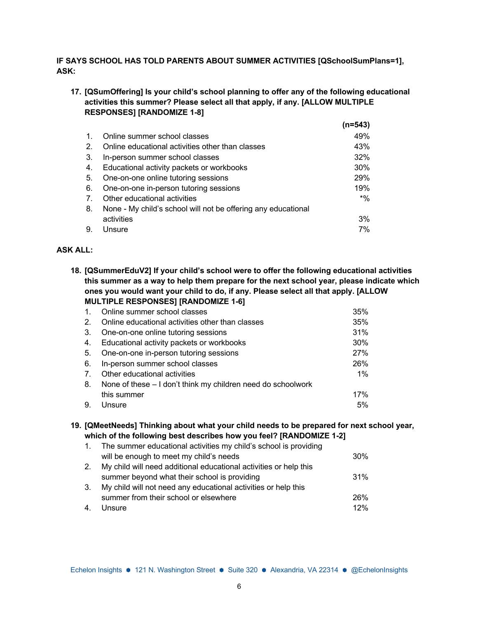# **IF SAYS SCHOOL HAS TOLD PARENTS ABOUT SUMMER ACTIVITIES [QSchoolSumPlans=1], ASK:**

# **17. [QSumOffering] Is your child's school planning to offer any of the following educational activities this summer? Please select all that apply, if any. [ALLOW MULTIPLE RESPONSES] [RANDOMIZE 1-8]**

|                |                                                               | (n=543) |
|----------------|---------------------------------------------------------------|---------|
| $\mathbf{1}$ . | Online summer school classes                                  | 49%     |
| 2.             | Online educational activities other than classes              | 43%     |
| 3.             | In-person summer school classes                               | 32%     |
| 4.             | Educational activity packets or workbooks                     | $30\%$  |
| 5.             | One-on-one online tutoring sessions                           | 29%     |
| 6.             | One-on-one in-person tutoring sessions                        | 19%     |
| 7 <sub>1</sub> | Other educational activities                                  | $*$ %   |
| 8.             | None - My child's school will not be offering any educational |         |
|                | activities                                                    | 3%      |
| 9.             | Unsure                                                        | 7%      |

### **ASK ALL:**

**18. [QSummerEduV2] If your child's school were to offer the following educational activities this summer as a way to help them prepare for the next school year, please indicate which ones you would want your child to do, if any. Please select all that apply. [ALLOW MULTIPLE RESPONSES] [RANDOMIZE 1-6]**

| $\mathbf{1}$ . | Online summer school classes                                 | 35%   |
|----------------|--------------------------------------------------------------|-------|
| 2.             | Online educational activities other than classes             | 35%   |
| 3.             | One-on-one online tutoring sessions                          | 31%   |
| 4.             | Educational activity packets or workbooks                    | 30%   |
| -5.            | One-on-one in-person tutoring sessions                       | 27%   |
| 6.             | In-person summer school classes                              | 26%   |
| 7.             | Other educational activities                                 | $1\%$ |
| 8.             | None of these – I don't think my children need do schoolwork |       |
|                | this summer                                                  | 17%   |
| 9.             | Unsure                                                       | 5%    |

#### **19. [QMeetNeeds] Thinking about what your child needs to be prepared for next school year, which of the following best describes how you feel? [RANDOMIZE 1-2]**

|    | 1. The summer educational activities my child's school is providing |     |
|----|---------------------------------------------------------------------|-----|
|    | will be enough to meet my child's needs                             | 30% |
| 2. | My child will need additional educational activities or help this   |     |
|    | summer beyond what their school is providing                        | 31% |
| 3. | My child will not need any educational activities or help this      |     |
|    | summer from their school or elsewhere                               | 26% |
| 4. | Unsure                                                              | 12% |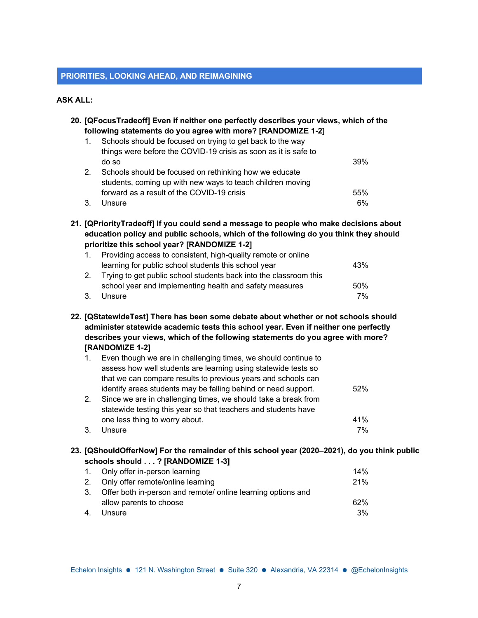#### **PRIORITIES, LOOKING AHEAD, AND REIMAGINING**

#### **ASK ALL:**

**20. [QFocusTradeoff] Even if neither one perfectly describes your views, which of the following statements do you agree with more? [RANDOMIZE 1-2]**

| $\mathbf{1}$ . | Schools should be focused on trying to get back to the way      |     |
|----------------|-----------------------------------------------------------------|-----|
|                | things were before the COVID-19 crisis as soon as it is safe to |     |
|                | do so                                                           | 39% |
| 2.             | Schools should be focused on rethinking how we educate          |     |
|                | students, coming up with new ways to teach children moving      |     |
|                | forward as a result of the COVID-19 crisis                      | 55% |
| 3.             | Unsure                                                          | 6%  |

**21. [QPriorityTradeoff] If you could send a message to people who make decisions about education policy and public schools, which of the following do you think they should prioritize this school year? [RANDOMIZE 1-2]**

| $1_{\cdot}$ | Providing access to consistent, high-quality remote or online     |     |
|-------------|-------------------------------------------------------------------|-----|
|             | learning for public school students this school year              | 43% |
| 2.          | Trying to get public school students back into the classroom this |     |
|             | school year and implementing health and safety measures           | 50% |
| 3.          | Unsure                                                            | 7%  |

**22. [QStatewideTest] There has been some debate about whether or not schools should administer statewide academic tests this school year. Even if neither one perfectly describes your views, which of the following statements do you agree with more? [RANDOMIZE 1-2]**

|    | Even though we are in challenging times, we should continue to |     |
|----|----------------------------------------------------------------|-----|
|    | assess how well students are learning using statewide tests so |     |
|    | that we can compare results to previous years and schools can  |     |
|    | identify areas students may be falling behind or need support. | 52% |
| 2. | Since we are in challenging times, we should take a break from |     |
|    | statewide testing this year so that teachers and students have |     |
|    | one less thing to worry about.                                 | 41% |
|    | Unsure                                                         | 7%  |

### **23. [QShouldOfferNow] For the remainder of this school year (2020–2021), do you think public schools should . . . ? [RANDOMIZE 1-3]**

| 1. Only offer in-person learning                                | 14% |
|-----------------------------------------------------------------|-----|
| 2. Only offer remote/online learning                            | 21% |
| 3. Offer both in-person and remote/ online learning options and |     |
| allow parents to choose                                         | 62% |
| Unsure                                                          | 3%  |
|                                                                 |     |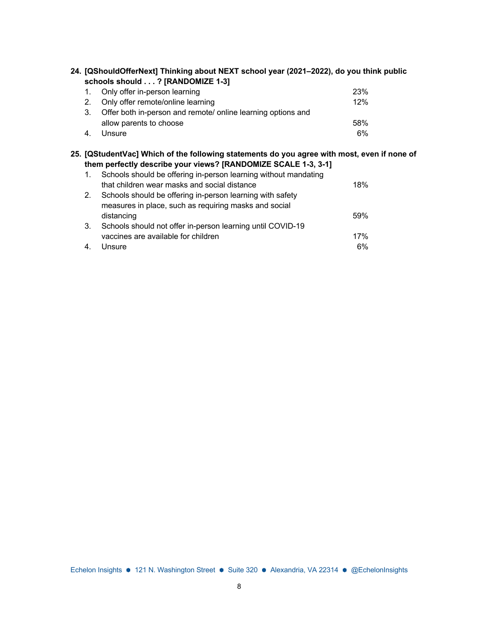|                                  |  | 24. [QShouldOfferNext] Thinking about NEXT school year (2021–2022), do you think public |  |
|----------------------------------|--|-----------------------------------------------------------------------------------------|--|
| schools should ? [RANDOMIZE 1-3] |  |                                                                                         |  |

|     | 1. Only offer in-person learning                             | 23% |
|-----|--------------------------------------------------------------|-----|
| 2.  | Only offer remote/online learning                            | 12% |
|     | Offer both in-person and remote/ online learning options and |     |
|     | allow parents to choose                                      | 58% |
| -4. | Unsure                                                       | 6%  |

## **25. [QStudentVac] Which of the following statements do you agree with most, even if none of them perfectly describe your views? [RANDOMIZE SCALE 1-3, 3-1]**

| $\overline{1}$ . | Schools should be offering in-person learning without mandating |     |
|------------------|-----------------------------------------------------------------|-----|
|                  | that children wear masks and social distance                    | 18% |
| 2.               | Schools should be offering in-person learning with safety       |     |
|                  | measures in place, such as requiring masks and social           |     |
|                  | distancing                                                      | 59% |
| 3.               | Schools should not offer in-person learning until COVID-19      |     |
|                  | vaccines are available for children                             | 17% |
|                  | Unsure                                                          | 6%  |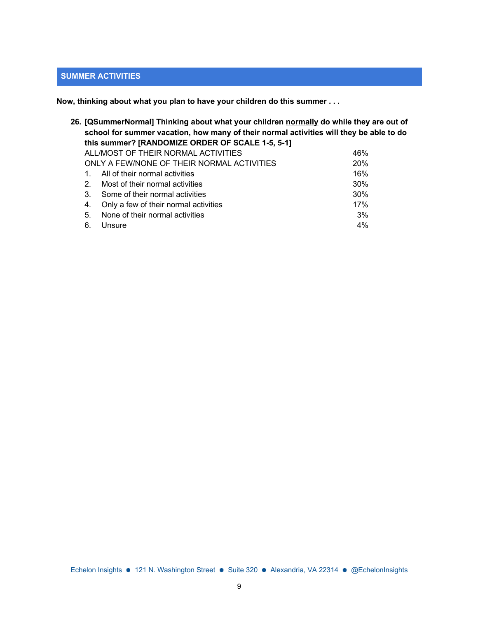# **SUMMER ACTIVITIES**

**Now, thinking about what you plan to have your children do this summer . . .**

|         | 26. [QSummerNormal] Thinking about what your children <u>normally</u> do while they are out of<br>school for summer vacation, how many of their normal activities will they be able to do<br>this summer? [RANDOMIZE ORDER OF SCALE 1-5, 5-1] |     |
|---------|-----------------------------------------------------------------------------------------------------------------------------------------------------------------------------------------------------------------------------------------------|-----|
|         | ALL/MOST OF THEIR NORMAL ACTIVITIES                                                                                                                                                                                                           | 46% |
|         | ONLY A FEW/NONE OF THEIR NORMAL ACTIVITIES                                                                                                                                                                                                    | 20% |
|         | All of their normal activities                                                                                                                                                                                                                | 16% |
| 2.      | Most of their normal activities                                                                                                                                                                                                               | 30% |
| $3_{-}$ | Some of their normal activities                                                                                                                                                                                                               | 30% |
| 4.      | Only a few of their normal activities                                                                                                                                                                                                         | 17% |
| 5.      | None of their normal activities                                                                                                                                                                                                               | 3%  |
| 6.      | Unsure                                                                                                                                                                                                                                        | 4%  |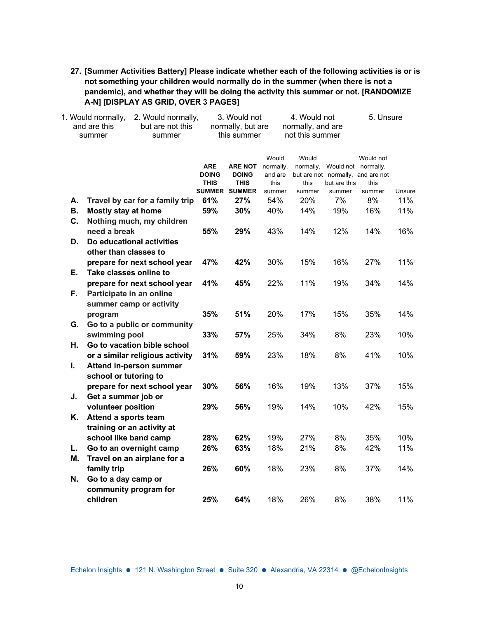**27. [Summer Activities Battery] Please indicate whether each of the following activities is or is not something your children would normally do in the summer (when there is not a pandemic), and whether they will be doing the activity this summer or not. [RANDOMIZE A-N] [DISPLAY AS GRID, OVER 3 PAGES]**

| 1. Would normally,<br>2. Would normally, |                                                        |              | 3. Would not         |           |                   | 4. Would not |                                   | 5. Unsure |  |
|------------------------------------------|--------------------------------------------------------|--------------|----------------------|-----------|-------------------|--------------|-----------------------------------|-----------|--|
| and are this<br>but are not this         |                                                        |              | normally, but are    |           | normally, and are |              |                                   |           |  |
|                                          | summer<br>summer                                       |              | this summer          |           | not this summer   |              |                                   |           |  |
|                                          |                                                        |              |                      | Would     | Would             |              | Would not                         |           |  |
|                                          |                                                        | <b>ARE</b>   | <b>ARE NOT</b>       | normally, | normally,         |              | Would not normally,               |           |  |
|                                          |                                                        | <b>DOING</b> | <b>DOING</b>         | and are   |                   |              | but are not normally, and are not |           |  |
|                                          |                                                        | <b>THIS</b>  | <b>THIS</b>          | this      | this              | but are this | this                              |           |  |
|                                          |                                                        |              | <b>SUMMER SUMMER</b> | summer    | summer            | summer       | summer                            | Unsure    |  |
| А.                                       | Travel by car for a family trip                        | 61%          | 27%                  | 54%       | 20%               | 7%           | 8%                                | 11%       |  |
| В.                                       | <b>Mostly stay at home</b>                             | 59%          | 30%                  | 40%       | 14%               | 19%          | 16%                               | 11%       |  |
| C.                                       | Nothing much, my children                              |              |                      |           |                   |              |                                   |           |  |
|                                          | need a break                                           | 55%          | 29%                  | 43%       | 14%               | 12%          | 14%                               | 16%       |  |
| D.                                       | Do educational activities                              |              |                      |           |                   |              |                                   |           |  |
|                                          | other than classes to                                  | 47%          | 42%                  | 30%       | 15%               | 16%          | 27%                               | 11%       |  |
| Е.                                       | prepare for next school year<br>Take classes online to |              |                      |           |                   |              |                                   |           |  |
|                                          | prepare for next school year                           | 41%          | 45%                  | 22%       | 11%               | 19%          | 34%                               | 14%       |  |
| F.                                       | Participate in an online                               |              |                      |           |                   |              |                                   |           |  |
|                                          | summer camp or activity                                |              |                      |           |                   |              |                                   |           |  |
|                                          | program                                                | 35%          | 51%                  | 20%       | 17%               | 15%          | 35%                               | 14%       |  |
| G.                                       | Go to a public or community                            |              |                      |           |                   |              |                                   |           |  |
|                                          | swimming pool                                          | 33%          | 57%                  | 25%       | 34%               | 8%           | 23%                               | 10%       |  |
| Η.                                       | Go to vacation bible school                            |              |                      |           |                   |              |                                   |           |  |
|                                          | or a similar religious activity                        | 31%          | 59%                  | 23%       | 18%               | 8%           | 41%                               | 10%       |  |
| I.                                       | <b>Attend in-person summer</b>                         |              |                      |           |                   |              |                                   |           |  |
|                                          | school or tutoring to                                  |              |                      |           |                   |              |                                   |           |  |
|                                          | prepare for next school year                           | 30%          | 56%                  | 16%       | 19%               | 13%          | 37%                               | 15%       |  |
| J.                                       | Get a summer job or                                    |              |                      |           |                   |              |                                   |           |  |
|                                          | volunteer position                                     | 29%          | 56%                  | 19%       | 14%               | 10%          | 42%                               | 15%       |  |
| Κ.                                       | Attend a sports team                                   |              |                      |           |                   |              |                                   |           |  |
|                                          | training or an activity at                             |              |                      |           |                   |              |                                   |           |  |
|                                          | school like band camp                                  | 28%          | 62%                  | 19%       | 27%               | 8%           | 35%                               | 10%       |  |
| L.                                       | Go to an overnight camp                                | 26%          | 63%                  | 18%       | 21%               | 8%           | 42%                               | 11%       |  |
| М.                                       | Travel on an airplane for a                            |              |                      |           |                   |              |                                   |           |  |
|                                          | family trip                                            | 26%          | 60%                  | 18%       | 23%               | 8%           | 37%                               | 14%       |  |
| N.                                       | Go to a day camp or                                    |              |                      |           |                   |              |                                   |           |  |
|                                          | community program for                                  |              |                      |           |                   |              |                                   |           |  |
|                                          | children                                               | 25%          | 64%                  | 18%       | 26%               | 8%           | 38%                               | 11%       |  |
|                                          |                                                        |              |                      |           |                   |              |                                   |           |  |

Echelon Insights ● 121 N. Washington Street ● Suite 320 ● Alexandria, VA 22314 ● @EchelonInsights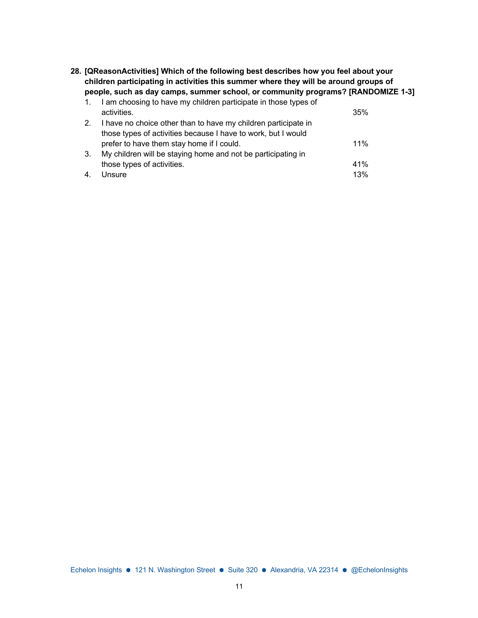**28. [QReasonActivities] Which of the following best describes how you feel about your children participating in activities this summer where they will be around groups of people, such as day camps, summer school, or community programs? [RANDOMIZE 1-3]**

| 1. | I am choosing to have my children participate in those types of |     |
|----|-----------------------------------------------------------------|-----|
|    | activities.                                                     | 35% |
| 2. | I have no choice other than to have my children participate in  |     |
|    | those types of activities because I have to work, but I would   |     |
|    | prefer to have them stay home if I could.                       | 11% |
| 3. | My children will be staying home and not be participating in    |     |
|    | those types of activities.                                      | 41% |
| 4. | Unsure                                                          | 13% |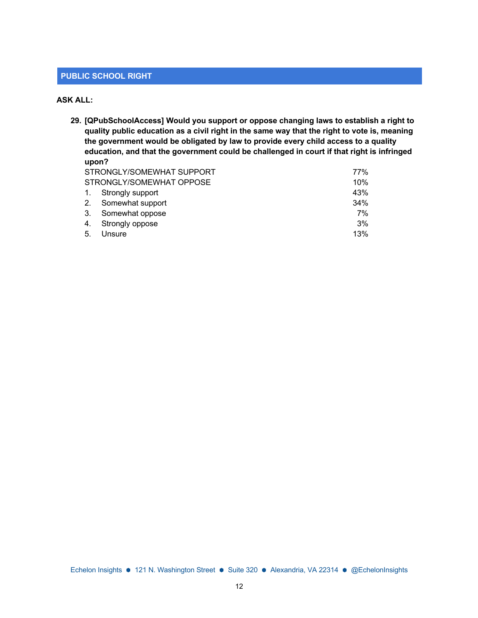#### **PUBLIC SCHOOL RIGHT**

### **ASK ALL:**

**29. [QPubSchoolAccess] Would you support or oppose changing laws to establish a right to quality public education as a civil right in the same way that the right to vote is, meaning the government would be obligated by law to provide every child access to a quality education, and that the government could be challenged in court if that right is infringed upon?** STRONGLY/SOMEWHAT SUPPORT 77%

|    | SIRONGLY/SOMEWHAT SUPPORT | $11\%$ |
|----|---------------------------|--------|
|    | STRONGLY/SOMEWHAT OPPOSE  | 10%    |
|    | 1. Strongly support       | 43%    |
|    | 2. Somewhat support       | 34%    |
|    | 3. Somewhat oppose        | 7%     |
|    | 4. Strongly oppose        | 3%     |
| 5. | Unsure                    | 13%    |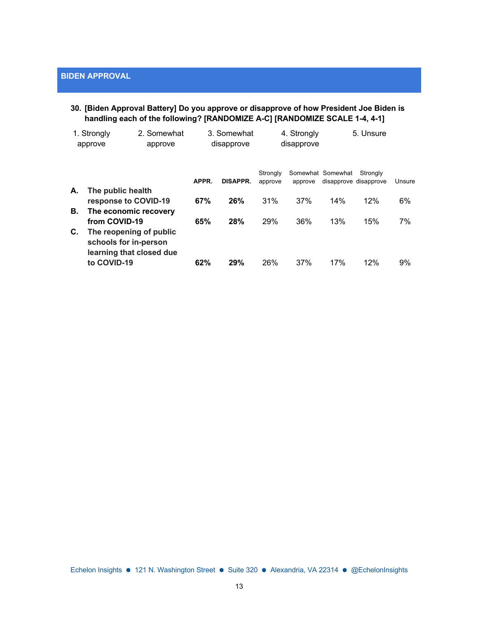# **30. [Biden Approval Battery] Do you approve or disapprove of how President Joe Biden is handling each of the following? [RANDOMIZE A-C] [RANDOMIZE SCALE 1-4, 4-1]**

|    | 1. Strongly<br>approve                                                                      | 2. Somewhat<br>approve |       | 3. Somewhat<br>disapprove |                     | 4. Strongly<br>disapprove |                                            | 5. Unsure |        |
|----|---------------------------------------------------------------------------------------------|------------------------|-------|---------------------------|---------------------|---------------------------|--------------------------------------------|-----------|--------|
|    |                                                                                             |                        | APPR. | <b>DISAPPR.</b>           | Strongly<br>approve | approve                   | Somewhat Somewhat<br>disapprove disapprove | Strongly  | Unsure |
| А. | The public health<br>response to COVID-19                                                   |                        | 67%   | 26%                       | 31%                 | 37%                       | 14%                                        | 12%       | 6%     |
| В. | The economic recovery<br>from COVID-19                                                      |                        | 65%   | 28%                       | 29%                 | 36%                       | 13%                                        | 15%       | 7%     |
| C. | The reopening of public<br>schools for in-person<br>learning that closed due<br>to COVID-19 |                        | 62%   | 29%                       | 26%                 | 37%                       | 17%                                        | 12%       | 9%     |
|    |                                                                                             |                        |       |                           |                     |                           |                                            |           |        |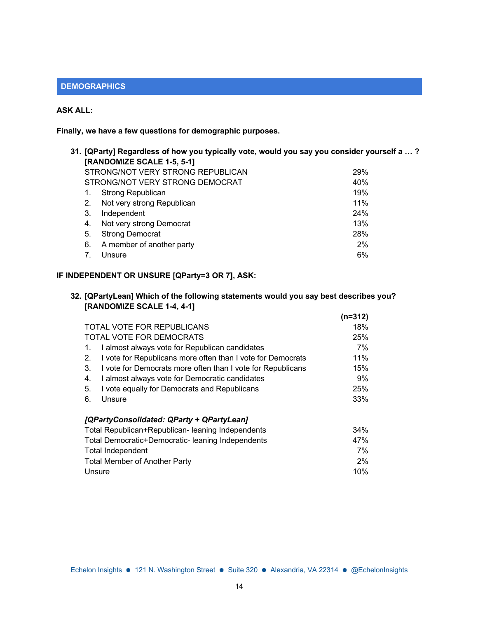# **DEMOGRAPHICS**

# **ASK ALL:**

**Finally, we have a few questions for demographic purposes.**

|    | 31. [QParty] Regardless of how you typically vote, would you say you consider yourself a … ? |     |
|----|----------------------------------------------------------------------------------------------|-----|
|    | [RANDOMIZE SCALE 1-5, 5-1]                                                                   |     |
|    | STRONG/NOT VERY STRONG REPUBLICAN                                                            | 29% |
|    | STRONG/NOT VERY STRONG DEMOCRAT                                                              | 40% |
| 1. | Strong Republican                                                                            | 19% |
| 2. | Not very strong Republican                                                                   | 11% |
| 3. | Independent                                                                                  | 24% |
| 4. | Not very strong Democrat                                                                     | 13% |
| 5. | <b>Strong Democrat</b>                                                                       | 28% |
| 6. | A member of another party                                                                    | 2%  |
|    | Unsure                                                                                       | 6%  |
|    |                                                                                              |     |

# **IF INDEPENDENT OR UNSURE [QParty=3 OR 7], ASK:**

| 32. [QPartyLean] Which of the following statements would you say best describes you? |
|--------------------------------------------------------------------------------------|
| [RANDOMIZE SCALE 1-4, 4-1]                                                           |

|                                                                   | $(n=312)$ |
|-------------------------------------------------------------------|-----------|
| <b>TOTAL VOTE FOR REPUBLICANS</b>                                 | 18%       |
| TOTAL VOTE FOR DEMOCRATS                                          | 25%       |
| I almost always vote for Republican candidates<br>1.              | 7%        |
| I vote for Republicans more often than I vote for Democrats<br>2. | 11%       |
| I vote for Democrats more often than I vote for Republicans<br>3. | 15%       |
| I almost always vote for Democratic candidates<br>4.              | 9%        |
| I vote equally for Democrats and Republicans<br>5.                | 25%       |
| 6.<br>Unsure                                                      | 33%       |
| [QPartyConsolidated: QParty + QPartyLean]                         |           |
| Total Republican+Republican- leaning Independents                 | $34\%$    |
| Total Democratic+Democratic- leaning Independents                 | 47%       |
| <b>Total Independent</b>                                          | 7%        |
| <b>Total Member of Another Party</b>                              | $2\%$     |
| Unsure                                                            | 10%       |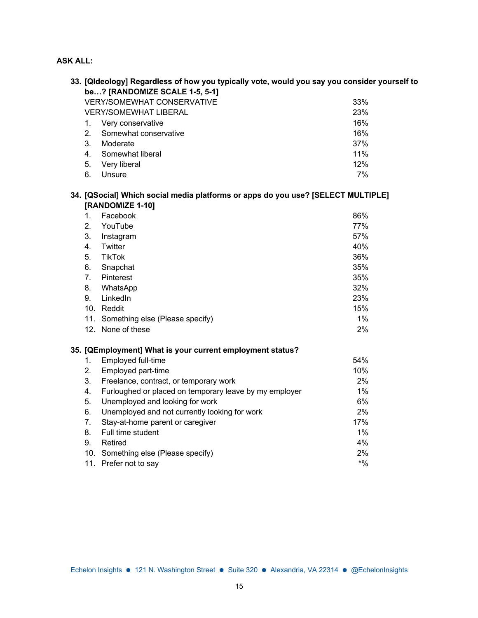# **ASK ALL:**

|         | 33. [Qldeology] Regardless of how you typically vote, would you say you consider yourself to         |        |  |  |  |  |  |
|---------|------------------------------------------------------------------------------------------------------|--------|--|--|--|--|--|
|         | be? [RANDOMIZE SCALE 1-5, 5-1]                                                                       |        |  |  |  |  |  |
|         | <b>VERY/SOMEWHAT CONSERVATIVE</b><br>33%                                                             |        |  |  |  |  |  |
|         | <b>VERY/SOMEWHAT LIBERAL</b>                                                                         | 23%    |  |  |  |  |  |
| 1.      | Very conservative                                                                                    | 16%    |  |  |  |  |  |
| 2.      | Somewhat conservative                                                                                | 16%    |  |  |  |  |  |
| 3.      | Moderate                                                                                             | 37%    |  |  |  |  |  |
| 4.      | Somewhat liberal                                                                                     | 11%    |  |  |  |  |  |
| 5.      | Very liberal                                                                                         | 12%    |  |  |  |  |  |
| 6.      | Unsure                                                                                               | 7%     |  |  |  |  |  |
|         | 34. [QSocial] Which social media platforms or apps do you use? [SELECT MULTIPLE]<br>[RANDOMIZE 1-10] |        |  |  |  |  |  |
| $1_{-}$ | Facebook                                                                                             | 86%    |  |  |  |  |  |
| 2.      | YouTube                                                                                              | 77%    |  |  |  |  |  |
| 3.      | Instagram                                                                                            | 57%    |  |  |  |  |  |
| 4.      | Twitter                                                                                              | 40%    |  |  |  |  |  |
| 5.      | <b>TikTok</b>                                                                                        | 36%    |  |  |  |  |  |
| 6.      | Snapchat                                                                                             | 35%    |  |  |  |  |  |
| 7.      | Pinterest                                                                                            | 35%    |  |  |  |  |  |
| 8.      | WhatsApp                                                                                             | 32%    |  |  |  |  |  |
| 9.      | LinkedIn                                                                                             | 23%    |  |  |  |  |  |
|         | 10. Reddit                                                                                           | 15%    |  |  |  |  |  |
|         | 11. Something else (Please specify)                                                                  | 1%     |  |  |  |  |  |
|         | 12. None of these                                                                                    | 2%     |  |  |  |  |  |
|         |                                                                                                      |        |  |  |  |  |  |
|         | 35. [QEmployment] What is your current employment status?                                            |        |  |  |  |  |  |
| 1.      | Employed full-time                                                                                   | 54%    |  |  |  |  |  |
| 2.      | Employed part-time                                                                                   | 10%    |  |  |  |  |  |
| 3.      | Freelance, contract, or temporary work                                                               | 2%     |  |  |  |  |  |
| 4.      | Furloughed or placed on temporary leave by my employer                                               | 1%     |  |  |  |  |  |
| 5.      | Unemployed and looking for work                                                                      | 6%     |  |  |  |  |  |
| 6.      | Unemployed and not currently looking for work                                                        | 2%     |  |  |  |  |  |
| 7.      | Stay-at-home parent or caregiver                                                                     | 17%    |  |  |  |  |  |
| 8.      | Full time student                                                                                    | 1%     |  |  |  |  |  |
| 9.      | Retired                                                                                              | 4%     |  |  |  |  |  |
|         | 10. Something else (Please specify)                                                                  | 2%     |  |  |  |  |  |
| 11.     | Prefer not to say                                                                                    | $*9/0$ |  |  |  |  |  |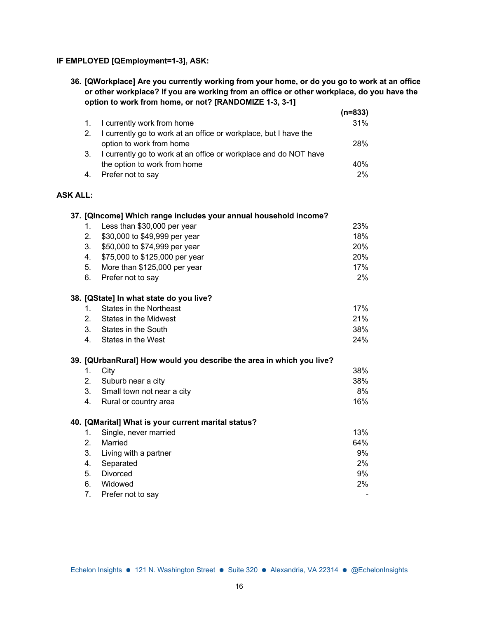# **IF EMPLOYED [QEmployment=1-3], ASK:**

**36. [QWorkplace] Are you currently working from your home, or do you go to work at an office or other workplace? If you are working from an office or other workplace, do you have the option to work from home, or not? [RANDOMIZE 1-3, 3-1]**

|                 |                |                                                                      | $(n=833)$ |
|-----------------|----------------|----------------------------------------------------------------------|-----------|
|                 | 1.             | I currently work from home                                           | 31%       |
|                 | 2.             | I currently go to work at an office or workplace, but I have the     |           |
|                 |                | option to work from home                                             | 28%       |
|                 | 3.             | I currently go to work at an office or workplace and do NOT have     |           |
|                 |                | the option to work from home                                         | 40%       |
|                 | 4.             | Prefer not to say                                                    | 2%        |
|                 |                |                                                                      |           |
| <b>ASK ALL:</b> |                |                                                                      |           |
|                 |                | 37. [QIncome] Which range includes your annual household income?     |           |
|                 | 1.             | Less than \$30,000 per year                                          | 23%       |
|                 | 2.             | \$30,000 to \$49,999 per year                                        | 18%       |
|                 | 3.             | \$50,000 to \$74,999 per year                                        | 20%       |
|                 | 4.             | \$75,000 to \$125,000 per year                                       | 20%       |
|                 | 5.             | More than \$125,000 per year                                         | 17%       |
|                 | 6.             | Prefer not to say                                                    | 2%        |
|                 |                | 38. [QState] In what state do you live?                              |           |
|                 | 1.             | <b>States in the Northeast</b>                                       | 17%       |
|                 | 2 <sub>1</sub> | <b>States in the Midwest</b>                                         | 21%       |
|                 | $3_{-}$        | States in the South                                                  | 38%       |
|                 | 4.             | States in the West                                                   | 24%       |
|                 |                | 39. [QUrbanRural] How would you describe the area in which you live? |           |
|                 | 1.             | City                                                                 | 38%       |
|                 | 2.             | Suburb near a city                                                   | 38%       |
|                 | 3.             | Small town not near a city                                           | 8%        |
|                 | 4.             | Rural or country area                                                | 16%       |
|                 |                | 40. [QMarital] What is your current marital status?                  |           |
|                 | 1.             | Single, never married                                                | 13%       |
|                 | 2.             | Married                                                              | 64%       |
|                 | 3.             | Living with a partner                                                | 9%        |
|                 | 4.             | Separated                                                            | 2%        |
|                 | 5.             | Divorced                                                             | 9%        |
|                 | 6.             | Widowed                                                              | 2%        |
|                 | 7.             | Prefer not to say                                                    |           |
|                 |                |                                                                      |           |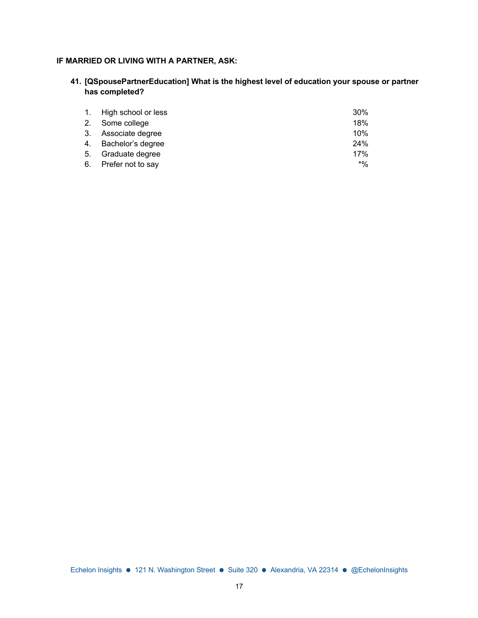## **IF MARRIED OR LIVING WITH A PARTNER, ASK:**

**41. [QSpousePartnerEducation] What is the highest level of education your spouse or partner has completed?**

| 1. High school or less | 30%   |
|------------------------|-------|
| 2. Some college        | 18%   |
| 3. Associate degree    | 10%   |
| 4. Bachelor's degree   | 24%   |
| 5. Graduate degree     | 17%   |
| 6. Prefer not to say   | $*$ % |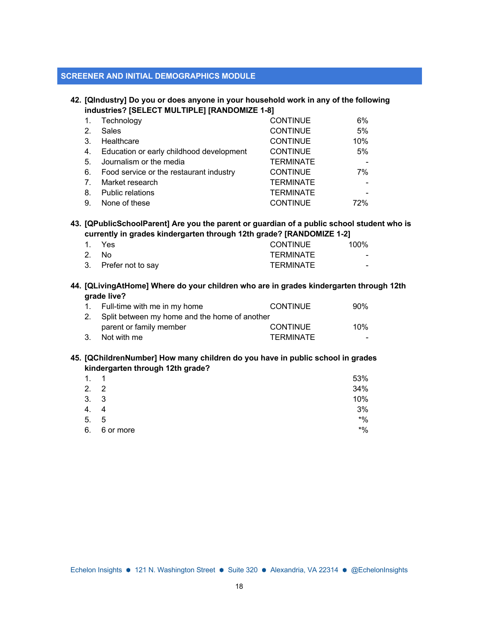#### **SCREENER AND INITIAL DEMOGRAPHICS MODULE**

#### **42. [QIndustry] Do you or does anyone in your household work in any of the following industries? [SELECT MULTIPLE] [RANDOMIZE 1-8]**

|    | Technology                               | <b>CONTINUE</b>  | 6%  |
|----|------------------------------------------|------------------|-----|
| 2. | <b>Sales</b>                             | <b>CONTINUE</b>  | 5%  |
| 3. | Healthcare                               | <b>CONTINUE</b>  | 10% |
| 4. | Education or early childhood development | <b>CONTINUE</b>  | 5%  |
| 5. | Journalism or the media                  | <b>TERMINATE</b> |     |
| 6. | Food service or the restaurant industry  | <b>CONTINUE</b>  | 7%  |
| 7. | Market research                          | <b>TERMINATE</b> |     |
| 8. | <b>Public relations</b>                  | <b>TERMINATE</b> |     |
| 9. | None of these                            | <b>CONTINUE</b>  | 72% |

### **43. [QPublicSchoolParent] Are you the parent or guardian of a public school student who is currently in grades kindergarten through 12th grade? [RANDOMIZE 1-2]**

| 1. Yes               | CONTINUE  | $100\%$ |
|----------------------|-----------|---------|
| 2. No                | TFRMINATF | $\sim$  |
| 3. Prefer not to say | TERMINATE | -       |

#### **44. [QLivingAtHome] Where do your children who are in grades kindergarten through 12th grade live?**

| 1. Full-time with me in my home                  | <b>CONTINUE</b>  | $90\%$ |
|--------------------------------------------------|------------------|--------|
| 2. Split between my home and the home of another |                  |        |
| parent or family member                          | <b>CONTINUE</b>  | $10\%$ |
| 3. Not with me                                   | <b>TERMINATE</b> |        |

#### **45. [QChildrenNumber] How many children do you have in public school in grades kindergarten through 12th grade?**

| 1.   | $\overline{1}$ | 53%    |
|------|----------------|--------|
| 2.2  |                | 34%    |
| 3. 3 |                | 10%    |
| 4.   | 4              | 3%     |
| 5.   | - 5            | $*9/6$ |
| 6.   | 6 or more      | $*9/6$ |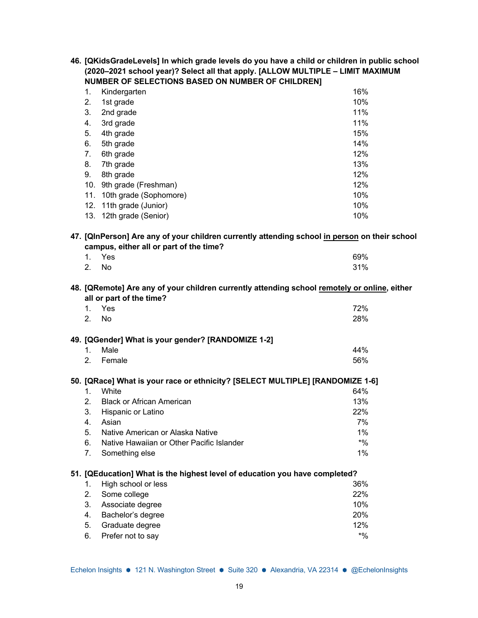| 46. [QKidsGradeLevels] In which grade levels do you have a child or children in public school |
|-----------------------------------------------------------------------------------------------|
| (2020–2021 school year)? Select all that apply. [ALLOW MULTIPLE - LIMIT MAXIMUM               |
| <b>NUMBER OF SELECTIONS BASED ON NUMBER OF CHILDRENI</b>                                      |

| Kindergarten            | 16% |
|-------------------------|-----|
| 1st grade               | 10% |
| 2nd grade               | 11% |
| 3rd grade               | 11% |
| 4th grade               | 15% |
| 5th grade               | 14% |
| 6th grade               | 12% |
| 7th grade               | 13% |
| 8th grade               | 12% |
| 9th grade (Freshman)    | 12% |
| 10th grade (Sophomore)  | 10% |
| 12. 11th grade (Junior) | 10% |
| 13. 12th grade (Senior) | 10% |
|                         |     |

## **47. [QInPerson] Are any of your children currently attending school in person on their school campus, either all or part of the time?**

|       | 1. Yes | 69% |
|-------|--------|-----|
| 2. No |        | 31% |

#### **48. [QRemote] Are any of your children currently attending school remotely or online, either all or part of the time?**

| 1.      | Yes<br>2. No                                       | 72%<br>28% |
|---------|----------------------------------------------------|------------|
|         | 49. [QGender] What is your gender? [RANDOMIZE 1-2] |            |
| $1_{-}$ | Male                                               | 44%        |
| 2       | Female                                             | 56%        |

### **50. [QRace] What is your race or ethnicity? [SELECT MULTIPLE] [RANDOMIZE 1-6]**

| $1_{-}$ | White                                        | 64%   |
|---------|----------------------------------------------|-------|
|         | 2. Black or African American                 | 13%   |
|         | 3. Hispanic or Latino                        | 22%   |
|         | 4. Asian                                     | 7%    |
|         | 5. Native American or Alaska Native          | $1\%$ |
|         | 6. Native Hawaiian or Other Pacific Islander | $*$ % |
|         | 7. Something else                            | $1\%$ |

#### **51. [QEducation] What is the highest level of education you have completed?**

| 1. High school or less | 36%   |
|------------------------|-------|
| 2. Some college        | 22%   |
| 3. Associate degree    | 10%   |
| 4. Bachelor's degree   | 20%   |
| 5. Graduate degree     | 12%   |
| 6. Prefer not to say   | $*$ % |